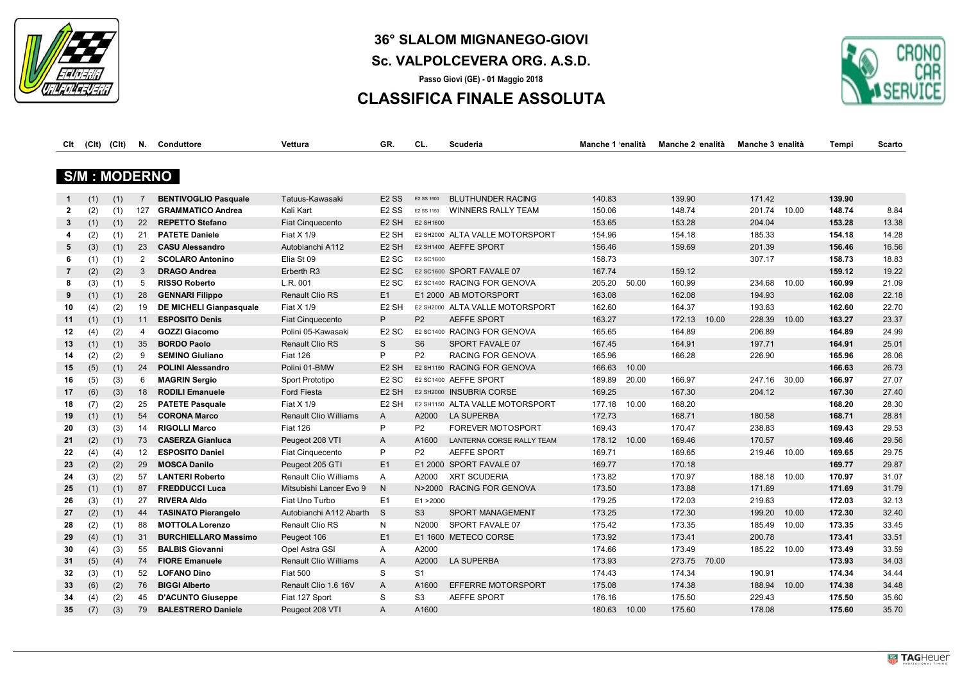

# **36° SLALOM MIGNANEGO-GIOVI**

## **Sc. VALPOLCEVERA ORG. A.S.D.**

**Passo Giovi (GE) - 01 Maggio 2018**

## **CLASSIFICA FINALE ASSOLUTA**



| Clt | (CIt) | (Clt)                | N.             | Conduttore                  | Vettura                      | GR.                           | CL.            | Scuderia                        | Manche 1 'enalità | Manche 2 'enalità | Manche 3 'enalità | Tempi  | Scarto |
|-----|-------|----------------------|----------------|-----------------------------|------------------------------|-------------------------------|----------------|---------------------------------|-------------------|-------------------|-------------------|--------|--------|
|     |       | <b>S/M : MODERNO</b> |                |                             |                              |                               |                |                                 |                   |                   |                   |        |        |
|     |       |                      |                |                             |                              |                               |                |                                 |                   |                   |                   |        |        |
|     | (1)   | (1)                  | $\overline{7}$ | <b>BENTIVOGLIO Pasquale</b> | Tatuus-Kawasaki              | E <sub>2</sub> S <sub>S</sub> | E2 SS 1600     | <b>BLUTHUNDER RACING</b>        | 140.83            | 139.90            | 171.42            | 139.90 |        |
| 2   | (2)   | (1)                  | 127            | <b>GRAMMATICO Andrea</b>    | Kali Kart                    | E <sub>2</sub> SS             | E2 SS 1150     | <b>WINNERS RALLY TEAM</b>       | 150.06            | 148.74            | 201.74 10.00      | 148.74 | 8.84   |
| 3   | (1)   | (1)                  | 22             | <b>REPETTO Stefano</b>      | <b>Fiat Cinquecento</b>      | E <sub>2</sub> SH             | E2 SH1600      |                                 | 153.65            | 153.28            | 204.04            | 153.28 | 13.38  |
| 4   | (2)   | (1)                  | 21             | <b>PATETE Daniele</b>       | Fiat X 1/9                   | E <sub>2</sub> SH             |                | E2 SH2000 ALTA VALLE MOTORSPORT | 154.96            | 154.18            | 185.33            | 154.18 | 14.28  |
| 5   | (3)   | (1)                  | 23             | <b>CASU Alessandro</b>      | Autobianchi A112             | E <sub>2</sub> SH             |                | E2 SH1400 AEFFE SPORT           | 156.46            | 159.69            | 201.39            | 156.46 | 16.56  |
| 6   | (1)   | (1)                  | $\overline{2}$ | <b>SCOLARO Antonino</b>     | Elia St 09                   | E <sub>2</sub> SC             | E2 SC1600      |                                 | 158.73            |                   | 307.17            | 158.73 | 18.83  |
| 7   | (2)   | (2)                  | 3              | <b>DRAGO Andrea</b>         | Erberth R3                   | E <sub>2</sub> SC             |                | E2 SC1600 SPORT FAVALE 07       | 167.74            | 159.12            |                   | 159.12 | 19.22  |
| 8   | (3)   | (1)                  | 5              | <b>RISSO Roberto</b>        | L.R. 001                     | E <sub>2</sub> SC             |                | E2 SC1400 RACING FOR GENOVA     | 205.20            | 50.00<br>160.99   | 234.68<br>10.00   | 160.99 | 21.09  |
| 9   | (1)   | (1)                  | 28             | <b>GENNARI Filippo</b>      | <b>Renault Clio RS</b>       | E1                            |                | E1 2000 AB MOTORSPORT           | 163.08            | 162.08            | 194.93            | 162.08 | 22.18  |
| 10  | (4)   | (2)                  | 19             | DE MICHELI Gianpasquale     | Fiat X 1/9                   | E <sub>2</sub> SH             |                | E2 SH2000 ALTA VALLE MOTORSPORT | 162.60            | 164.37            | 193.63            | 162.60 | 22.70  |
| 11  | (1)   | (1)                  | 11             | <b>ESPOSITO Denis</b>       | <b>Fiat Cinquecento</b>      | P                             | P <sub>2</sub> | AEFFE SPORT                     | 163.27            | 10.00<br>172.13   | 228.39<br>10.00   | 163.27 | 23.37  |
| 12  | (4)   | (2)                  | 4              | <b>GOZZI Giacomo</b>        | Polini 05-Kawasaki           | E <sub>2</sub> SC             |                | E2 SC1400 RACING FOR GENOVA     | 165.65            | 164.89            | 206.89            | 164.89 | 24.99  |
| 13  | (1)   | (1)                  | 35             | <b>BORDO Paolo</b>          | <b>Renault Clio RS</b>       | S                             | S <sub>6</sub> | SPORT FAVALE 07                 | 167.45            | 164.91            | 197.71            | 164.91 | 25.01  |
| 14  | (2)   | (2)                  | 9              | <b>SEMINO Giuliano</b>      | <b>Fiat 126</b>              | P                             | P <sub>2</sub> | RACING FOR GENOVA               | 165.96            | 166.28            | 226.90            | 165.96 | 26.06  |
| 15  | (5)   | (1)                  | 24             | <b>POLINI Alessandro</b>    | Polini 01-BMW                | E <sub>2</sub> SH             |                | E2 SH1150 RACING FOR GENOVA     | 166.63            | 10.00             |                   | 166.63 | 26.73  |
| 16  | (5)   | (3)                  | 6              | <b>MAGRIN Sergio</b>        | Sport Prototipo              | E <sub>2</sub> SC             |                | E2 SC1400 AEFFE SPORT           | 189.89            | 20.00<br>166.97   | 247.16<br>30.00   | 166.97 | 27.07  |
| 17  | (6)   | (3)                  | 18             | <b>RODILI Emanuele</b>      | Ford Fiesta                  | E <sub>2</sub> SH             |                | E2 SH2000 INSUBRIA CORSE        | 169.25            | 167.30            | 204.12            | 167.30 | 27.40  |
| 18  | (7)   | (2)                  | 25             | <b>PATETE Pasquale</b>      | Fiat X 1/9                   | E <sub>2</sub> SH             |                | E2 SH1150 ALTA VALLE MOTORSPORT | 177.18            | 10.00<br>168.20   |                   | 168.20 | 28.30  |
| 19  | (1)   | (1)                  | 54             | <b>CORONA Marco</b>         | <b>Renault Clio Williams</b> | A                             | A2000          | <b>LA SUPERBA</b>               | 172.73            | 168.71            | 180.58            | 168.71 | 28.81  |
| 20  | (3)   | (3)                  | 14             | <b>RIGOLLI Marco</b>        | <b>Fiat 126</b>              | P                             | P <sub>2</sub> | <b>FOREVER MOTOSPORT</b>        | 169.43            | 170.47            | 238.83            | 169.43 | 29.53  |
| 21  | (2)   | (1)                  | 73             | <b>CASERZA Gianluca</b>     | Peugeot 208 VTI              | $\mathsf{A}$                  | A1600          | LANTERNA CORSE RALLY TEAM       | 178.12            | 169.46<br>10.00   | 170.57            | 169.46 | 29.56  |
| 22  | (4)   | (4)                  | 12             | <b>ESPOSITO Daniel</b>      | Fiat Cinquecento             | P                             | P <sub>2</sub> | <b>AEFFE SPORT</b>              | 169.71            | 169.65            | 219.46 10.00      | 169.65 | 29.75  |
| 23  | (2)   | (2)                  | 29             | <b>MOSCA Danilo</b>         | Peugeot 205 GTI              | E1                            |                | E1 2000 SPORT FAVALE 07         | 169.77            | 170.18            |                   | 169.77 | 29.87  |
| 24  | (3)   | (2)                  | 57             | <b>LANTERI Roberto</b>      | <b>Renault Clio Williams</b> | A                             | A2000          | <b>XRT SCUDERIA</b>             | 173.82            | 170.97            | 188.18 10.00      | 170.97 | 31.07  |
| 25  | (1)   | (1)                  | 87             | <b>FREDDUCCI Luca</b>       | Mitsubishi Lancer Evo 9      | $\mathsf{N}$                  |                | N>2000 RACING FOR GENOVA        | 173.50            | 173.88            | 171.69            | 171.69 | 31.79  |
| 26  | (3)   | (1)                  | 27             | <b>RIVERA Aldo</b>          | Fiat Uno Turbo               | E <sub>1</sub>                | E1 > 2000      |                                 | 179.25            | 172.03            | 219.63            | 172.03 | 32.13  |
| 27  | (2)   | (1)                  | 44             | <b>TASINATO Pierangelo</b>  | Autobianchi A112 Abarth      | <sub>S</sub>                  | S <sub>3</sub> | SPORT MANAGEMENT                | 173.25            | 172.30            | 199.20<br>10.00   | 172.30 | 32.40  |
| 28  | (2)   | (1)                  | 88             | <b>MOTTOLA Lorenzo</b>      | Renault Clio RS              | N                             | N2000          | SPORT FAVALE 07                 | 175.42            | 173.35            | 185.49<br>10.00   | 173.35 | 33.45  |
| 29  | (4)   | (1)                  | 31             | <b>BURCHIELLARO Massimo</b> | Peugeot 106                  | E <sub>1</sub>                |                | E1 1600 METECO CORSE            | 173.92            | 173.41            | 200.78            | 173.41 | 33.51  |
| 30  | (4)   | (3)                  | 55             | <b>BALBIS Giovanni</b>      | Opel Astra GSI               | A                             | A2000          |                                 | 174.66            | 173.49            | 185.22<br>10.00   | 173.49 | 33.59  |
| 31  | (5)   | (4)                  | 74             | <b>FIORE Emanuele</b>       | <b>Renault Clio Williams</b> | $\mathsf{A}$                  | A2000          | <b>LA SUPERBA</b>               | 173.93            | 273.75<br>70.00   |                   | 173.93 | 34.03  |
| 32  | (3)   | (1)                  | 52             | <b>LOFANO Dino</b>          | <b>Fiat 500</b>              | S                             | S <sub>1</sub> |                                 | 174.43            | 174.34            | 190.91            | 174.34 | 34.44  |
| 33  | (6)   | (2)                  | 76             | <b>BIGGI Alberto</b>        | Renault Clio 1.6 16V         | $\mathsf{A}$                  | A1600          | EFFERRE MOTORSPORT              | 175.08            | 174.38            | 188.94<br>10.00   | 174.38 | 34.48  |
| 34  | (4)   | (2)                  | 45             | <b>D'ACUNTO Giuseppe</b>    | Fiat 127 Sport               | S                             | S <sub>3</sub> | <b>AEFFE SPORT</b>              | 176.16            | 175.50            | 229.43            | 175.50 | 35.60  |
| 35  | (7)   | (3)                  | 79             | <b>BALESTRERO Daniele</b>   | Peugeot 208 VTI              | Α                             | A1600          |                                 | 180.63            | 10.00<br>175.60   | 178.08            | 175.60 | 35.70  |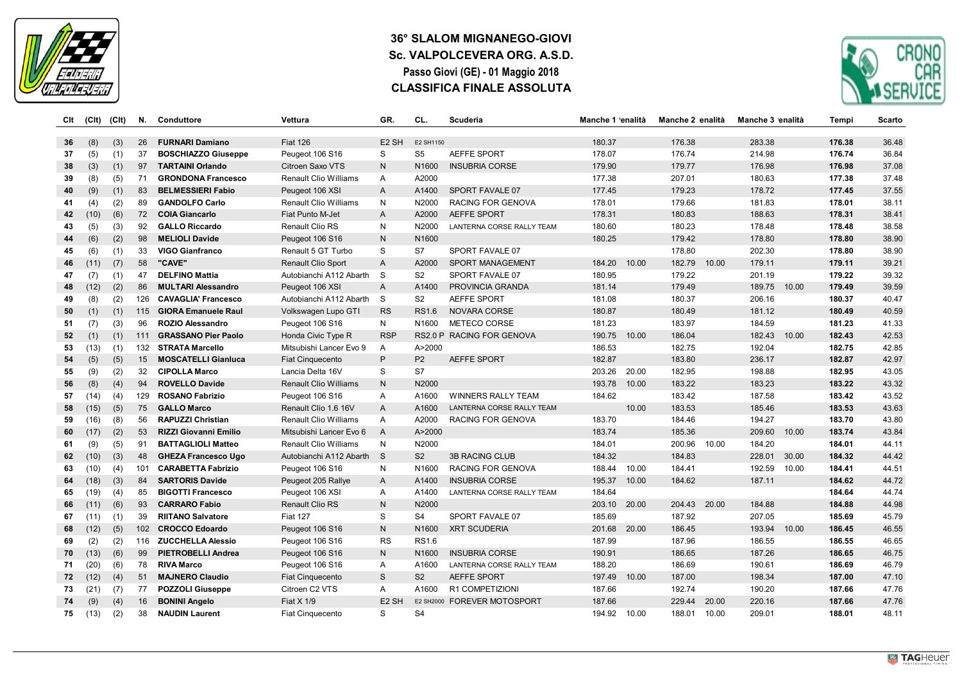

### **36° SLALOM MIGNANEGO-GIOVI Sc. VALPOLCEVERA ORG. A.S.D. Passo Giovi (GE) - 01 Maggio 2018 CLASSIFICA FINALE ASSOLUTA**



| Clt | (C <sub>It</sub> ) | (CIt) | N.               | Conduttore                   | Vettura                      | GR.               | CL.               | Scuderia                    | Manche 1 'enalità | Manche 2 'enalità | Manche 3 'enalità | Tempi  | <b>Scarto</b> |
|-----|--------------------|-------|------------------|------------------------------|------------------------------|-------------------|-------------------|-----------------------------|-------------------|-------------------|-------------------|--------|---------------|
| 36  | (8)                | (3)   | 26               | <b>FURNARI Damiano</b>       | <b>Fiat 126</b>              | E <sub>2</sub> SH | E2 SH1150         |                             | 180.37            | 176.38            | 283.38            | 176.38 | 36.48         |
| 37  | (5)                | (1)   | 37               | <b>BOSCHIAZZO Giuseppe</b>   | Peugeot 106 S16              | S                 | S <sub>5</sub>    | <b>AEFFE SPORT</b>          | 178.07            | 176.74            | 214.98            | 176.74 | 36.84         |
| 38  | (3)                | (1)   | 97               | <b>TARTAINI Orlando</b>      | Citroen Saxo VTS             | ${\sf N}$         | N1600             | <b>INSUBRIA CORSE</b>       | 179.90            | 179.77            | 176.98            | 176.98 | 37.08         |
| 39  | (8)                | (5)   | 71               | <b>GRONDONA Francesco</b>    | Renault Clio Williams        | Α                 | A2000             |                             | 177.38            | 207.01            | 180.63            | 177.38 | 37.48         |
| 40  | (9)                | (1)   | 83               | <b>BELMESSIERI Fabio</b>     | Peugeot 106 XSI              | A                 | A1400             | SPORT FAVALE 07             | 177.45            | 179.23            | 178.72            | 177.45 | 37.55         |
| 41  | (4)                | (2)   | 89               | <b>GANDOLFO Carlo</b>        | Renault Clio Williams        | N                 | N2000             | RACING FOR GENOVA           | 178.01            | 179.66            | 181.83            | 178.01 | 38.11         |
| 42  | (10)               | (6)   | 72               | <b>COIA Giancarlo</b>        | Fiat Punto M-Jet             | A                 | A2000             | <b>AEFFE SPORT</b>          | 178.31            | 180.83            | 188.63            | 178.31 | 38.41         |
| 43  | (5)                | (3)   | 92               | <b>GALLO Riccardo</b>        | Renault Clio RS              | N                 | N2000             | LANTERNA CORSE RALLY TEAM   | 180.60            | 180.23            | 178.48            | 178.48 | 38.58         |
| 44  | (6)                | (2)   | 98               | <b>MELIOLI Davide</b>        | Peugeot 106 S16              | $\mathsf{N}$      | N1600             |                             | 180.25            | 179.42            | 178.80            | 178.80 | 38.90         |
| 45  | (6)                | (1)   | 33               | <b>VIGO Gianfranco</b>       | Renault 5 GT Turbo           | S                 | S7                | SPORT FAVALE 07             |                   | 178.80            | 202.30            | 178.80 | 38.90         |
| 46  | (11)               | (7)   | 58               | "CAVE"                       | Renault Clio Sport           | A                 | A2000             | <b>SPORT MANAGEMENT</b>     | 184.20<br>10.00   | 182.79<br>10.00   | 179.11            | 179.11 | 39.21         |
| 47  | (7)                | (1)   | 47               | <b>DELFINO Mattia</b>        | Autobianchi A112 Abarth      | -S                | S <sub>2</sub>    | SPORT FAVALE 07             | 180.95            | 179.22            | 201.19            | 179.22 | 39.32         |
| 48  | (12)               | (2)   | 86               | <b>MULTARI Alessandro</b>    | Peugeot 106 XSI              | A                 | A1400             | PROVINCIA GRANDA            | 181.14            | 179.49            | 189.75<br>10.00   | 179.49 | 39.59         |
| 49  | (8)                | (2)   | 126              | <b>CAVAGLIA' Francesco</b>   | Autobianchi A112 Abarth      | S                 | S <sub>2</sub>    | <b>AEFFE SPORT</b>          | 181.08            | 180.37            | 206.16            | 180.37 | 40.47         |
| 50  | (1)                | (1)   | 115              | <b>GIORA Emanuele Raul</b>   | Volkswagen Lupo GTI          | <b>RS</b>         | <b>RS1.6</b>      | <b>NOVARA CORSE</b>         | 180.87            | 180.49            | 181.12            | 180.49 | 40.59         |
| 51  | (7)                | (3)   | 96               | <b>ROZIO Alessandro</b>      | Peugeot 106 S16              | N                 | N1600             | METECO CORSE                | 181.23            | 183.97            | 184.59            | 181.23 | 41.33         |
| 52  | (1)                | (1)   | 111              | <b>GRASSANO Pier Paolo</b>   | Honda Civic Type R           | <b>RSP</b>        |                   | RS2.0 P RACING FOR GENOVA   | 190.75<br>10.00   | 186.04            | 182.43<br>10.00   | 182.43 | 42.53         |
| 53  | (13)               | (1)   |                  | 132 STRATA Marcello          | Mitsubishi Lancer Evo 9      | Α                 | A>2000            |                             | 186.53            | 182.75            | 192.04            | 182.75 | 42.85         |
| 54  | (5)                | (5)   | 15               | <b>MOSCATELLI Gianluca</b>   | <b>Fiat Cinquecento</b>      | $\mathsf{P}$      | P <sub>2</sub>    | <b>AEFFE SPORT</b>          | 182.87            | 183.80            | 236.17            | 182.87 | 42.97         |
| 55  | (9)                | (2)   | 32               | <b>CIPOLLA Marco</b>         | Lancia Delta 16V             | S                 | S7                |                             | 203.26<br>20.00   | 182.95            | 198.88            | 182.95 | 43.05         |
| 56  | (8)                | (4)   | 94               | <b>ROVELLO Davide</b>        | <b>Renault Clio Williams</b> | ${\sf N}$         | N2000             |                             | 193.78<br>10.00   | 183.22            | 183.23            | 183.22 | 43.32         |
| 57  | (14)               | (4)   | 129              | <b>ROSANO Fabrizio</b>       | Peugeot 106 S16              | A                 | A1600             | <b>WINNERS RALLY TEAM</b>   | 184.62            | 183.42            | 187.58            | 183.42 | 43.52         |
| 58  | (15)               | (5)   | 75               | <b>GALLO Marco</b>           | Renault Clio 1.6 16V         | A                 | A1600             | LANTERNA CORSE RALLY TEAM   | 10.00             | 183.53            | 185.46            | 183.53 | 43.63         |
| 59  | (16)               | (8)   | 56               | <b>RAPUZZI Christian</b>     | Renault Clio Williams        | A                 | A2000             | RACING FOR GENOVA           | 183.70            | 184.46            | 194.27            | 183.70 | 43.80         |
| 60  | (17)               | (2)   | 53               | <b>RIZZI Giovanni Emilio</b> | Mitsubishi Lancer Evo 6      | $\overline{A}$    | A>2000            |                             | 183.74            | 185.36            | 209.60 10.00      | 183.74 | 43.84         |
| 61  | (9)                | (5)   | 91               | <b>BATTAGLIOLI Matteo</b>    | Renault Clio Williams        | ${\sf N}$         | N2000             |                             | 184.01            | 10.00<br>200.96   | 184.20            | 184.01 | 44.11         |
| 62  | (10)               | (3)   | 48               | <b>GHEZA Francesco Ugo</b>   | Autobianchi A112 Abarth      | S.                | S <sub>2</sub>    | <b>3B RACING CLUB</b>       | 184.32            | 184.83            | 228.01<br>30.00   | 184.32 | 44.42         |
| 63  | (10)               | (4)   | 101              | <b>CARABETTA Fabrizio</b>    | Peugeot 106 S16              | N                 | N1600             | RACING FOR GENOVA           | 188.44<br>10.00   | 184.41            | 192.59<br>10.00   | 184.41 | 44.51         |
| 64  | (18)               | (3)   | 84               | <b>SARTORIS Davide</b>       | Peugeot 205 Rallye           | A                 | A1400             | <b>INSUBRIA CORSE</b>       | 195.37<br>10.00   | 184.62            | 187.11            | 184.62 | 44.72         |
| 65  | (19)               | (4)   | 85               | <b>BIGOTTI Francesco</b>     | Peugeot 106 XSI              | A                 | A1400             | LANTERNA CORSE RALLY TEAM   | 184.64            |                   |                   | 184.64 | 44.74         |
| 66  | (11)               | (6)   | 93               | <b>CARRARO Fabio</b>         | <b>Renault Clio RS</b>       | $\mathsf{N}$      | N2000             |                             | 20.00<br>203.10   | 20.00<br>204.43   | 184.88            | 184.88 | 44.98         |
| 67  | (11)               | (1)   | 39               | <b>RIITANO Salvatore</b>     | <b>Fiat 127</b>              | S                 | S <sub>4</sub>    | SPORT FAVALE 07             | 185.69            | 187.92            | 207.05            | 185.69 | 45.79         |
| 68  | (12)               | (5)   | 102 <sub>2</sub> | <b>CROCCO Edoardo</b>        | Peugeot 106 S16              | N                 | N <sub>1600</sub> | <b>XRT SCUDERIA</b>         | 201.68<br>20.00   | 186.45            | 193.94<br>10.00   | 186.45 | 46.55         |
| 69  | (2)                | (2)   | 116              | <b>ZUCCHELLA Alessio</b>     | Peugeot 106 S16              | <b>RS</b>         | <b>RS1.6</b>      |                             | 187.99            | 187.96            | 186.55            | 186.55 | 46.65         |
| 70  | (13)               | (6)   | 99               | <b>PIETROBELLI Andrea</b>    | Peugeot 106 S16              | N <sub>1</sub>    | N <sub>1600</sub> | <b>INSUBRIA CORSE</b>       | 190.91            | 186.65            | 187.26            | 186.65 | 46.75         |
| 71  | (20)               | (6)   | 78               | <b>RIVA Marco</b>            | Peugeot 106 S16              | Α                 | A1600             | LANTERNA CORSE RALLY TEAM   | 188.20            | 186.69            | 190.61            | 186.69 | 46.79         |
| 72  | (12)               | (4)   | 51               | <b>MAJNERO Claudio</b>       | <b>Fiat Cinquecento</b>      | S                 | S <sub>2</sub>    | <b>AEFFE SPORT</b>          | 197.49<br>10.00   | 187.00            | 198.34            | 187.00 | 47.10         |
| 73  | (21)               | (7)   | 77               | <b>POZZOLI Giuseppe</b>      | Citroen C2 VTS               | Α                 | A1600             | R1 COMPETIZIONI             | 187.66            | 192.74            | 190.20            | 187.66 | 47.76         |
| 74  | (9)                | (4)   | 16               | <b>BONINI Angelo</b>         | Fiat X 1/9                   | E <sub>2</sub> SH |                   | E2 SH2000 FOREVER MOTOSPORT | 187.66            | 229.44<br>20.00   | 220.16            | 187.66 | 47.76         |
| 75  | (13)               | (2)   | 38               | <b>NAUDIN Laurent</b>        | Fiat Cinquecento             | S                 | S <sub>4</sub>    |                             | 194.92<br>10.00   | 188.01<br>10.00   | 209.01            | 188.01 | 48.11         |